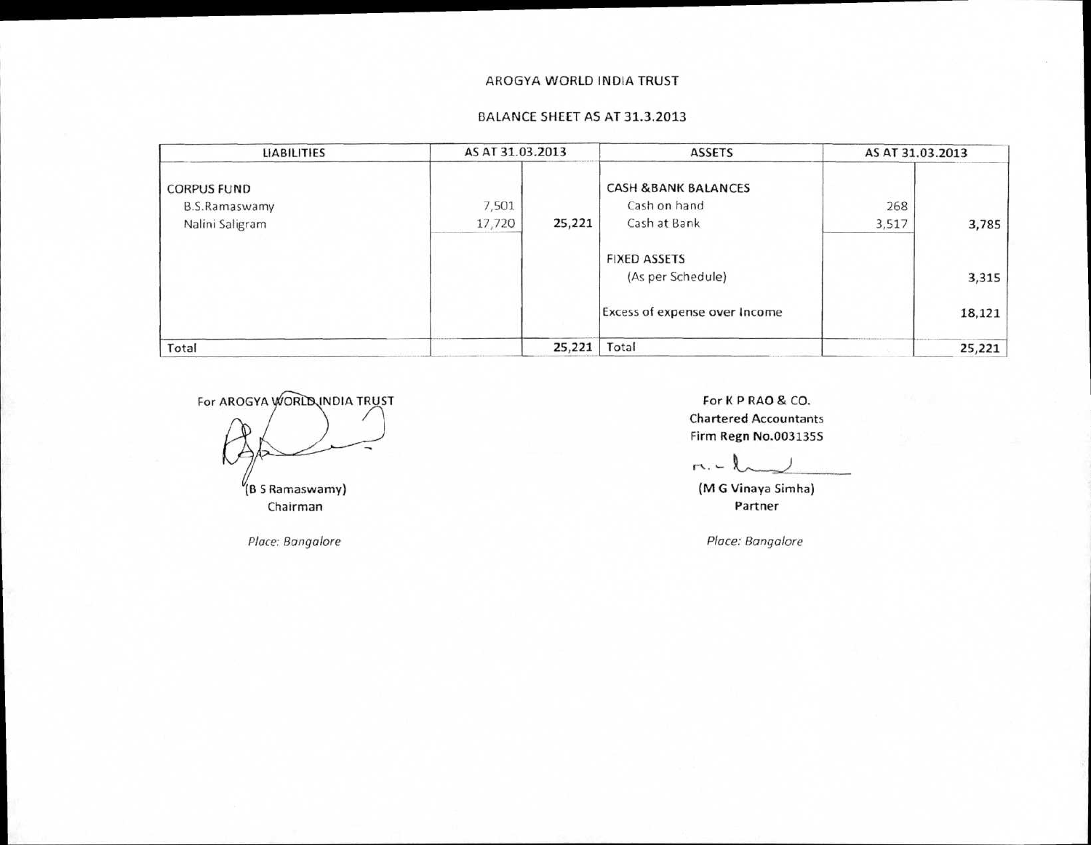#### AROGYA WORLD INDIA TRUST

### BALANCE SHEET AS AT 31.3.2013

| <b>LIABILITIES</b>                                            | AS AT 31.03.2013 |        | <b>ASSETS</b>                                                  | AS AT 31.03.2013 |        |
|---------------------------------------------------------------|------------------|--------|----------------------------------------------------------------|------------------|--------|
| <b>CORPUS FUND</b><br><b>B.S.Ramaswamy</b><br>Nalini Saligram | 7,501<br>17,720  | 25,221 | <b>CASH &amp;BANK BALANCES</b><br>Cash on hand<br>Cash at Bank | 268<br>3,517     | 3,785  |
|                                                               |                  |        | <b>FIXED ASSETS</b><br>(As per Schedule)                       |                  | 3,315  |
|                                                               |                  |        | Excess of expense over Income                                  |                  | 18,121 |
| Total                                                         |                  | 25,221 | Total                                                          |                  | 25,221 |

For AROGYA WORLD INDIA TRUST (B S Ramaswamy)

Chairman

For K P RAO & CO. Chartered Accountants Firm Regn No.003135S

 $r \cdot - l$ 

(M G Vinaya Simha) Partner

*Place: Bangalore Place: Bangalore*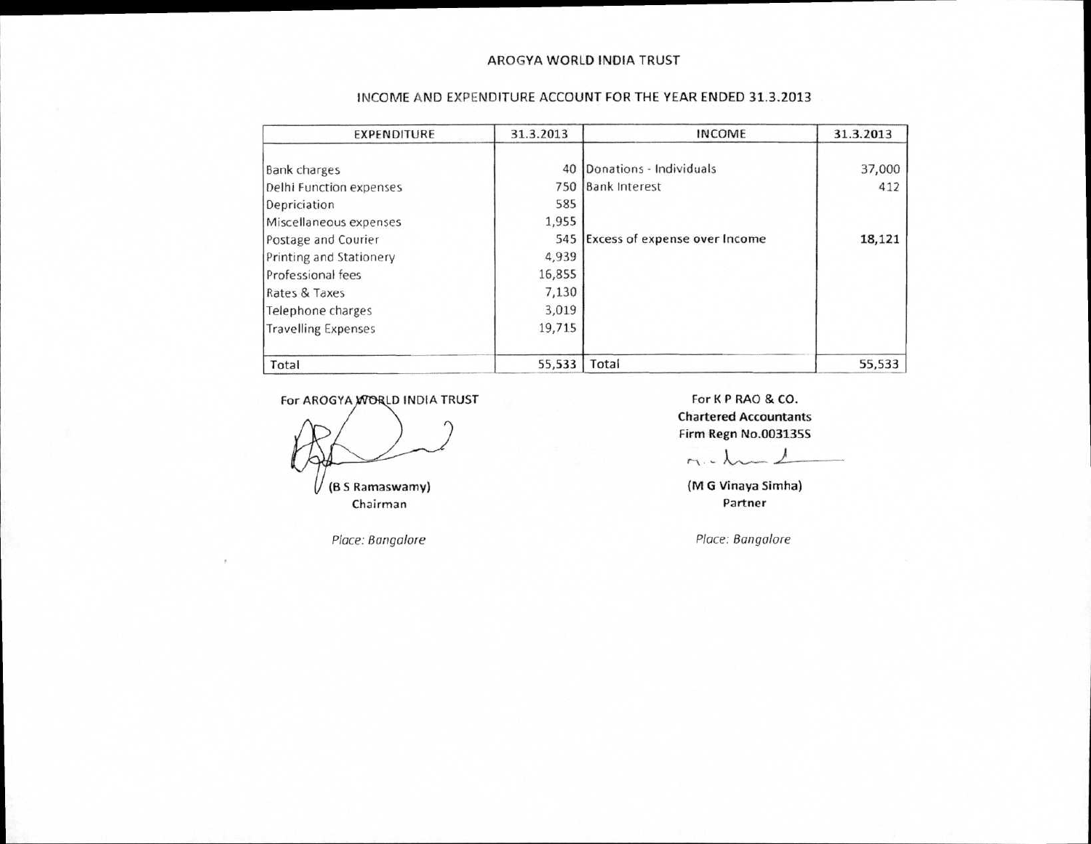#### AROGYA WORLD INDIA TRUST

| <b>EXPENDITURE</b>         | 31.3.2013 | <b>INCOME</b>                     | 31.3.2013 |
|----------------------------|-----------|-----------------------------------|-----------|
| <b>Bank charges</b>        | 40        | Donations - Individuals           | 37,000    |
| Delhi Function expenses    |           | 750 Bank Interest                 | 412       |
| Depriciation               | 585       |                                   |           |
| Miscellaneous expenses     | 1,955     |                                   |           |
| Postage and Courier        |           | 545 Excess of expense over Income | 18,121    |
| Printing and Stationery    | 4,939     |                                   |           |
| Professional fees          | 16,855    |                                   |           |
| Rates & Taxes              | 7,130     |                                   |           |
| Telephone charges          | 3,019     |                                   |           |
| <b>Travelling Expenses</b> | 19,715    |                                   |           |
| Total                      | 55,533    | Total                             | 55,533    |

#### INCOME AND EXPENDITURE ACCOUNT FOR THE YEAR ENDED 31.3.2013

For AROGYA NORLD INDIA TRUST For K P RAO & CO.

Chairman

U

Place: Bangalore **Place: Bangalore Place: Bangalore** 

Chartered Accountants Firm Regn No.0031355

 $M.4$ 

**(B** S Ramaswamy) (M G Vinaya Simha)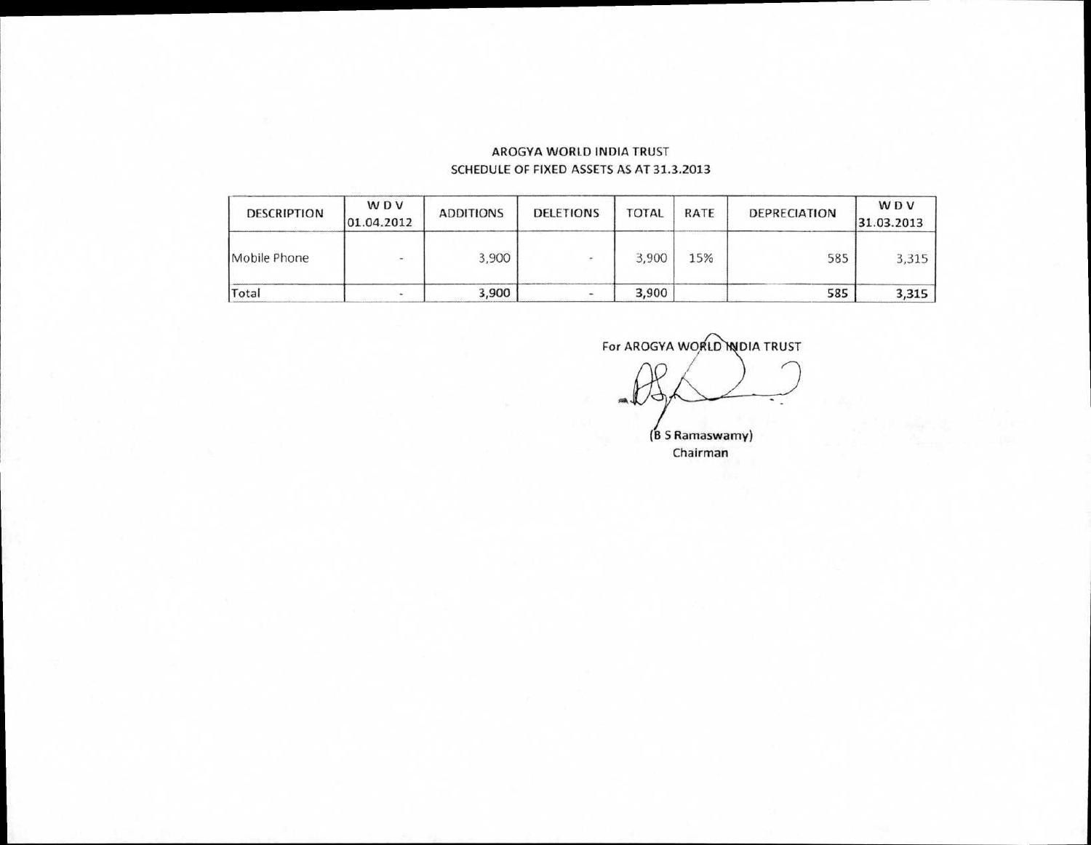## AROGYA WORLD INDIA TRUST SCHEDULE OF FIXED ASSETS AS AT 31.3.2013

| <b>DESCRIPTION</b> | <b>WDV</b><br>01.04.2012 | <b>ADDITIONS</b> | <b>DELETIONS</b> | <b>TOTAL</b> | <b>RATE</b> | <b>DEPRECIATION</b> | WDV<br>31.03.2013 |
|--------------------|--------------------------|------------------|------------------|--------------|-------------|---------------------|-------------------|
| Mobile Phone       | <b>Section</b>           | 3,900            |                  | 3,900        | 15%         | 585                 | 3,315             |
| Total              |                          | 3,900            |                  | 3,900        |             | 585                 | 3,315             |

For AROGYA WORLD NOIA TRUST (B S Ramaswamy) Chairman